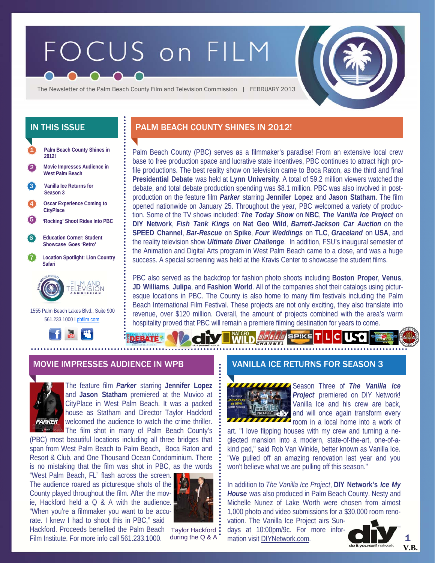# FOCUS on FILM

The Newsletter of the Palm Beach County Film and Television Commission | FEBRUARY 2013



 1555 Palm Beach Lakes Blvd., Suite 900 561.233.1000 I pbfilm.com



# IN THIS ISSUE **PALM BEACH COUNTY SHINES IN 2012!**

Palm Beach County (PBC) serves as a filmmaker's paradise! From an extensive local crew base to free production space and lucrative state incentives, PBC continues to attract high profile productions. The best reality show on television came to Boca Raton, as the third and final **Presidential Debate** was held at **Lynn University**. A total of 59.2 million viewers watched the debate, and total debate production spending was \$8.1 million. PBC was also involved in postproduction on the feature film *Parker* starring **Jennifer Lopez** and **Jason Statham**. The film opened nationwide on January 25. Throughout the year, PBC welcomed a variety of production. Some of the TV shows included: *The Today Show* on **NBC**, *The Vanilla Ice Project* on **DIY Network**, *Fish Tank Kings* on **Nat Geo Wild**, *Barrett-Jackson Car Auction* on the **SPEED Channel**, *Bar-Rescue* on **Spike**, *Four Weddings* on **TLC**, *Graceland* on **USA**, and the reality television show *Ultimate Diver Challenge*. In addition, FSU's inaugural semester of the Animation and Digital Arts program in West Palm Beach came to a close, and was a huge success. A special screening was held at the Kravis Center to showcase the student films.

PBC also served as the backdrop for fashion photo shoots including **Boston Proper**, **Venus**, **JD Williams**, **Julipa**, and **Fashion World**. All of the companies shot their catalogs using picturesque locations in PBC. The County is also home to many film festivals including the Palm Beach International Film Festival. These projects are not only exciting, they also translate into revenue, over \$120 million. Overall, the amount of projects combined with the area's warm hospitality proved that PBC will remain a premiere filming destination for years to come.

 $s$ | $\bm{r}$ | $\bm{\epsilon}$ | $\bm{u}$ | SPIKE

## MOVIE IMPRESSES AUDIENCE IN WPB VANILLA ICE RETURNS FOR SEASON 3



The feature film *Parker* starring **Jennifer Lopez**  and **Jason Statham** premiered at the Muvico at CityPlace in West Palm Beach. It was a packed house as Statham and Director Taylor Hackford welcomed the audience to watch the crime thriller. The film shot in many of Palm Beach County's

(PBC) most beautiful locations including all three bridges that span from West Palm Beach to Palm Beach, Boca Raton and Resort & Club, and One Thousand Ocean Condominium. There is no mistaking that the film was shot in PBC, as the words

"West Palm Beach, FL" flash across the screen. The audience roared as picturesque shots of the County played throughout the film. After the movie, Hackford held a Q & A with the audience. "When you're a filmmaker you want to be accurate. I knew I had to shoot this in PBC," said



Hackford. Proceeds benefited the Palm Beach Taylor Hackford Film Institute. For more info call 561.233.1000.

during the Q & A



Season Three of *The Vanilla Ice Project* premiered on DIY Network! Vanilla Ice and his crew are back, and will once again transform every **THEFT FORM** room in a local home into a work of

art. "I love flipping houses with my crew and turning a neglected mansion into a modern, state-of-the-art, one-of-akind pad," said Rob Van Winkle, better known as Vanilla Ice. "We pulled off an amazing renovation last year and you won't believe what we are pulling off this season."

In addition to *The Vanilla Ice Project*, **DIY Network's** *Ice My House* was also produced in Palm Beach County. Nesty and Michelle Nunez of Lake Worth were chosen from almost 1,000 photo and video submissions for a \$30,000 room reno-

vation. The Vanilla Ice Project airs Sundays at 10:00pm/9c. For more information visit DIYNetwork.com.



1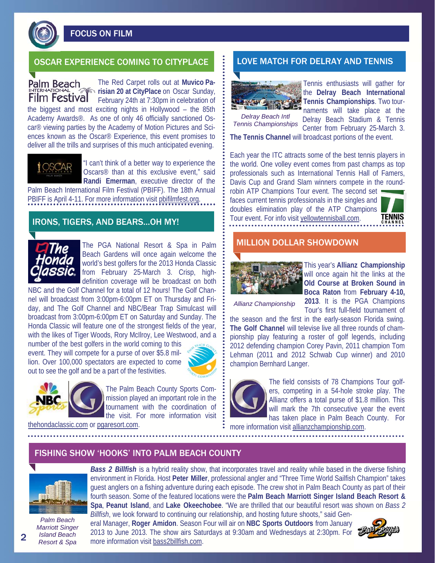FOCUS ON FILM

# OSCAR EXPERIENCE COMING TO CITYPLACE **LOVE MATCH FOR DELRAY AND TENNIS**

Palm Beach **Film Festival** 

The Red Carpet rolls out at **Muvico Parisian 20 at CityPlace** on Oscar Sunday, February 24th at 7:30pm in celebration of

the biggest and most exciting nights in Hollywood – the 85th Academy Awards®. As one of only 46 officially sanctioned Oscar® viewing parties by the Academy of Motion Pictures and Sciences known as the Oscar® Experience, this event promises to deliver all the trills and surprises of this much anticipated evening.



"I can't think of a better way to experience the Oscars® than at this exclusive event," said **Randi Emerman**, executive director of the

Palm Beach International Film Festival (PBIFF). The 18th Annual PBIFF is April 4-11. For more information visit pbifilmfest.org.

## IRONS, TIGERS, AND BEARS...OH MY!



The PGA National Resort & Spa in Palm Beach Gardens will once again welcome the world's best golfers for the 2013 Honda Classic from February 25-March 3. Crisp, highdefinition coverage will be broadcast on both

NBC and the Golf Channel for a total of 12 hours! The Golf Channel will broadcast from 3:00pm-6:00pm ET on Thursday and Friday, and The Golf Channel and NBC/Bear Trap Simulcast will broadcast from 3:00pm-6:00pm ET on Saturday and Sunday. The Honda Classic will feature one of the strongest fields of the year, with the likes of Tiger Woods, Rory McIlroy, Lee Westwood, and a

number of the best golfers in the world coming to this event. They will compete for a purse of over \$5.8 million. Over 100,000 spectators are expected to come out to see the golf and be a part of the festivities.





The Palm Beach County Sports Commission played an important role in the tournament with the coordination of the visit. For more information visit

thehondaclassic.com or pgaresort.com.



Tennis enthusiasts will gather for the **Delray Beach International Tennis Championships**. Two tournaments will take place at the

*Delray Beach Intl Tennis Championships* 

Delray Beach Stadium & Tennis Center from February 25-March 3.

**The Tennis Channel** will broadcast portions of the event.

Each year the ITC attracts some of the best tennis players in the world. One volley event comes from past champs as top professionals such as International Tennis Hall of Famers, Davis Cup and Grand Slam winners compete in the round-

robin ATP Champions Tour event. The second set faces current tennis professionals in the singles and doubles elimination play of the ATP Champions Tour event. For info visit yellowtennisball.com.



### MILLION DOLLAR SHOWDOWN



This year's **Allianz Championship**  will once again hit the links at the **Old Course at Broken Sound in Boca Raton** from **February 4-10, 2013**. It is the PGA Champions

Tour's first full-field tournament of

*Allianz Championship* 

the season and the first in the early-season Florida swing. **The Golf Channel** will televise live all three rounds of championship play featuring a roster of golf legends, including 2012 defending champion Corey Pavin, 2011 champion Tom Lehman (2011 and 2012 Schwab Cup winner) and 2010 champion Bernhard Langer.



The field consists of 78 Champions Tour golfers, competing in a 54-hole stroke play. The Allianz offers a total purse of \$1.8 million. This will mark the 7th consecutive year the event has taken place in Palm Beach County. For more information visit allianzchampionship.com.

FISHING SHOW 'HOOKS' INTO PALM BEACH COUNTY



*Palm Beach Marriott Singer Island Beach Resort & Spa* 

*Bass 2 Billfish* is a hybrid reality show, that incorporates travel and reality while based in the diverse fishing environment in Florida. Host **Peter Miller**, professional angler and "Three Time World Sailfish Champion" takes guest anglers on a fishing adventure during each episode. The crew shot in Palm Beach County as part of their fourth season. Some of the featured locations were the **Palm Beach Marriott Singer Island Beach Resort & Spa**, **Peanut Island**, and **Lake Okeechobee**. "We are thrilled that our beautiful resort was shown on *Bass 2* 

*Billfish*, we look forward to continuing our relationship, and hosting future shoots," said General Manager, **Roger Amidon**. Season Four will air on **NBC Sports Outdoors** from January 2013 to June 2013. The show airs Saturdays at 9:30am and Wednesdays at 2:30pm. For more information visit bass2billfish.com.



 $\mathbf{c}$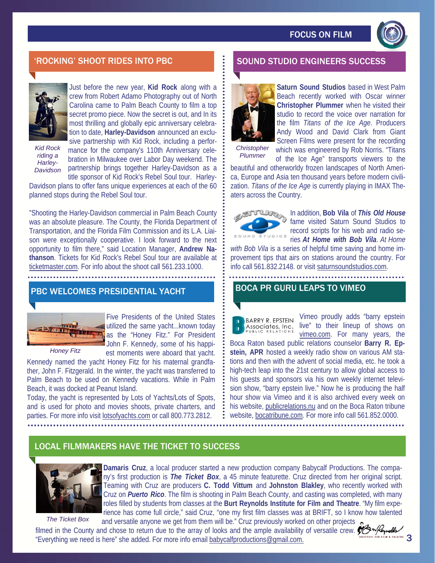

# 'ROCKING' SHOOT RIDES INTO PBC SOUND STUDIO ENGINEERS SUCCESS



Just before the new year, **Kid Rock** along with a crew from Robert Adamo Photography out of North Carolina came to Palm Beach County to film a top secret promo piece. Now the secret is out, and In its most thrilling and globally epic anniversary celebra-

*Kid Rock riding a Harley-Davidson* 

tion to date, **Harley-Davidson** announced an exclusive partnership with Kid Rock, including a performance for the company's 110th Anniversary celebration in Milwaukee over Labor Day weekend. The partnership brings together Harley-Davidson as a

title sponsor of Kid Rock's Rebel Soul tour. Harley-Davidson plans to offer fans unique experiences at each of the 60 planned stops during the Rebel Soul tour.

"Shooting the Harley-Davidson commercial in Palm Beach County was an absolute pleasure. The County, the Florida Department of Transportation, and the Florida Film Commission and its L.A. Liaison were exceptionally cooperative. I look forward to the next opportunity to film there," said Location Manager, **Andrew Nathanson**. Tickets for Kid Rock's Rebel Soul tour are available at ticketmaster.com. For info about the shoot call 561.233.1000.

# PBC WELCOMES PRESIDENTIAL YACHT



Five Presidents of the United States utilized the same yacht...known today as the "Honey Fitz." For President John F. Kennedy, some of his happiest moments were aboard that yacht.

*Honey Fitz* 

Kennedy named the yacht Honey Fitz for his maternal grandfather, John F. Fitzgerald. In the winter, the yacht was transferred to Palm Beach to be used on Kennedy vacations. While in Palm Beach, it was docked at Peanut Island.

Today, the yacht is represented by Lots of Yachts/Lots of Spots, and is used for photo and movies shoots, private charters, and parties. For more info visit lotsofyachts.com or call 800.773.2812.



**Saturn Sound Studios** based in West Palm Beach recently worked with Oscar winner **Christopher Plummer** when he visited their studio to record the voice over narration for the film *Titans of the Ice Age*. Producers Andy Wood and David Clark from Giant Screen Films were present for the recording

*Christopher* 

which was engineered by Rob Norris. "Titans of the Ice Age" transports viewers to the beautiful and otherworldy frozen landscapes of North America, Europe and Asia ten thousand years before modern civilization. *Titans of the Ice Age* is currently playing in IMAX The-*Plummer* 



aters across the Country.

In addition, **Bob Vila** of *This Old House*  fame visited Saturn Sound Studios to record scripts for his web and radio series *At Home with Bob Vila*. *At Home* 

*with Bob Vila* is a series of helpful time saving and home improvement tips that airs on stations around the country. For info call 561.832.2148. or visit saturnsoundstudios.com.

## BOCA PR GURU LEAPS TO VIMEO

**BARRY R. EPSTEIN** Associates, Inc. Vimeo proudly adds "barry epstein live" to their lineup of shows on vimeo.com. For many years, the

Boca Raton based public relations counselor **Barry R. Epstein, APR** hosted a weekly radio show on various AM stations and then with the advent of social media, etc. he took a high-tech leap into the 21st century to allow global access to his guests and sponsors via his own weekly internet television show, "barry epstein live." Now he is producing the half hour show via Vimeo and it is also archived every week on his website, publicrelations.nu and on the Boca Raton tribune website, bocatribune.com. For more info call 561.852.0000.

# LOCAL FILMMAKERS HAVE THE TICKET TO SUCCESS



*The Ticket Box* 

**Damaris Cruz**, a local producer started a new production company Babycalf Productions. The company's first production is *The Ticket Box*, a 45 minute featurette. Cruz directed from her original script. Teaming with Cruz are producers **C. Todd Vittum** and **Johnston Blakley**, who recently worked with Cruz on *Puerto Rico*. The film is shooting in Palm Beach County, and casting was completed, with many roles filled by students from classes at the **Burt Reynolds Institute for Film and Theatre**. "My film experience has come full circle," said Cruz, "one my first film classes was at BRIFT, so I know how talented and versatile anyone we get from them will be." Cruz previously worked on other projects

filmed in the County and chose to return due to the array of looks and the ample availability of versatile crew. "Everything we need is here" she added. For more info email babycalfproductions@gmail.com.